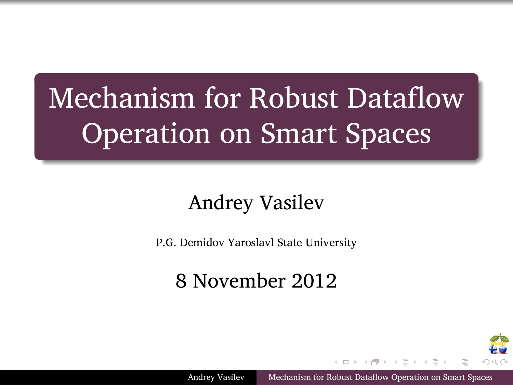# Mechanism for Robust Dataflow Operation on Smart Spaces

.

.

## Andrey Vasilev

P.G. Demidov Yaroslavl State University

8 November 2012

 $\left\{ \begin{array}{ccc} \pm & \pm & \pm \end{array} \right. \ \left\{ \begin{array}{ccc} \pm & \pm & \pm \end{array} \right. \ \left\{ \begin{array}{ccc} \pm & \pm & \pm \end{array} \right. \ \left\{ \begin{array}{ccc} \pm & \pm & \pm \end{array} \right. \ \left\{ \begin{array}{ccc} \pm & \pm & \pm \end{array} \right. \ \left\{ \begin{array}{ccc} \pm & \pm & \pm \end{array} \right. \ \left\{ \begin{array}{ccc} \pm & \pm & \pm \end{array} \right. \ \left\{ \begin{array}{ccc} \pm & \pm & \pm \end{array}$ 

▛₩

Andrey Vasilev Mechanism for Robust Dataflow Operation on Smart Sp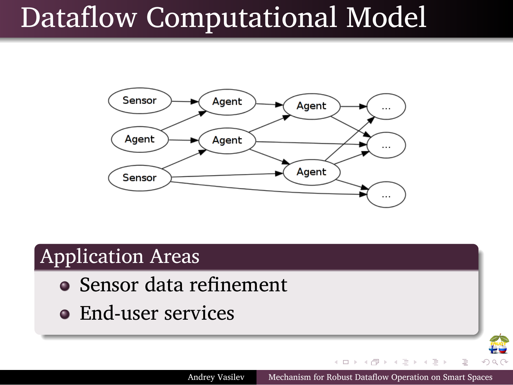# Dataflow Computational Model



 $\mathbf{A} \boxdot \mathbf{B} + \mathbf{A} \boxdot \mathbf{B} + \mathbf{A} \boxdot \mathbf{B} + \mathbf{A} \boxdot \mathbf{B} + \mathbf{B} \boxdot \mathbf{B} + \mathbf{B} \mathbf{A} \boxdot \mathbf{B} + \mathbf{A} \boxdot \mathbf{B} + \mathbf{A} \boxdot \mathbf{B} + \mathbf{A} \boxdot \mathbf{B} + \mathbf{A} \boxdot \mathbf{B} + \mathbf{A} \boxdot \mathbf{B} + \mathbf{A} \boxdot \mathbf{B} + \mathbf{A} \boxdot \mathbf{B} + \mathbf{A}$ 

**PO** 

Andrey Vasilev Mechanism for Robust Dataflow Operation on Smart Spaces

#### . Application Areas .

.

.

- Sensor data refinement
- **•** End-user services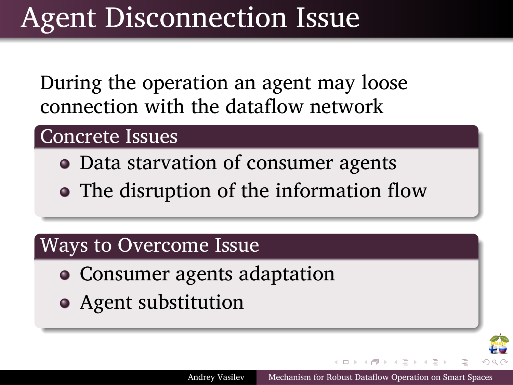## Agent Disconnection Issue

During the operation an agent may loose connection with the dataflow network

### . Concrete Issues .

.

.

.

- Data starvation of consumer agents
- The disruption of the information flow

. . . . . .

理

Andrey Vasilev Mechanism for Robust Dataflow Operation on Smart S

### .Ways to Overcome Issue .

- Consumer agents adaptation
- Agent substitution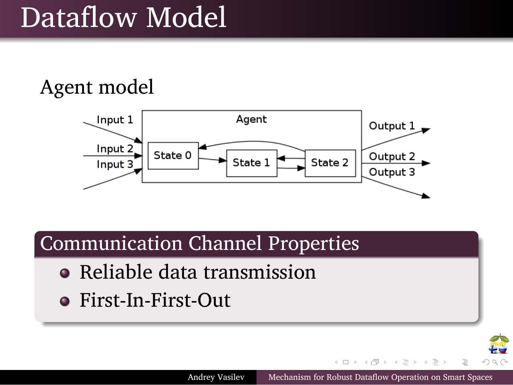# Dataflow Model

Agent model

.

.



 $\left\{ \begin{array}{ccc} \pm & \pm & \pm \end{array} \right. \ \left\{ \begin{array}{ccc} \pm & \pm & \pm \end{array} \right. \ \left\{ \begin{array}{ccc} \pm & \pm & \pm \end{array} \right. \ \left\{ \begin{array}{ccc} \pm & \pm & \pm \end{array} \right. \ \left\{ \begin{array}{ccc} \pm & \pm & \pm \end{array} \right. \ \left\{ \begin{array}{ccc} \pm & \pm & \pm \end{array} \right. \ \left\{ \begin{array}{ccc} \pm & \pm & \pm \end{array} \right. \ \left\{ \begin{array}{ccc} \pm & \pm & \pm \end{array}$ 

**PO** 

Andrey Vasilev Mechanism for Robust Dataflow Operation on Smart Spaces

#### . Communication Channel Properties .

- Reliable data transmission
- First-In-First-Out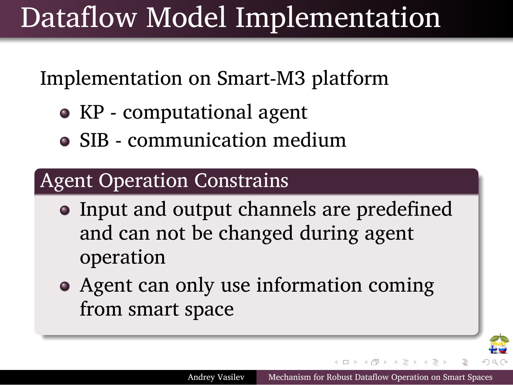## Dataflow Model Implementation

Implementation on Smart-M3 platform

- KP computational agent
- SIB communication medium

#### . Agent Operation Constrains .

.

.

- Input and output channels are predefined and can not be changed during agent operation
- Agent can only use information coming from smart space

. . . . . .

T.

Andrey Vasilev Mechanism for Robust Dataflow Operation on Smart Spaces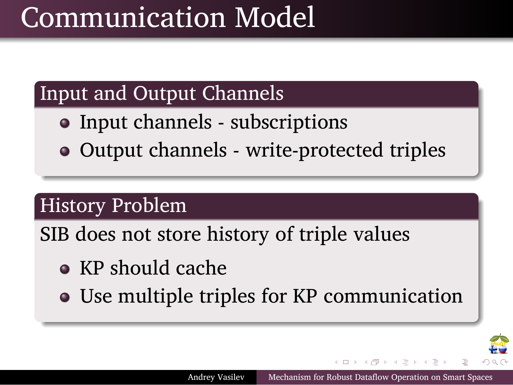## Communication Model

#### . Input and Output Channels .

- Input channels subscriptions
- Output channels write-protected triples

## . History Problem .

.

.

.

SIB does not store history of triple values

- KP should cache
- Use multiple triples for KP communication

Andrey Vasilev Mechanism for Robust Data

. . . . . .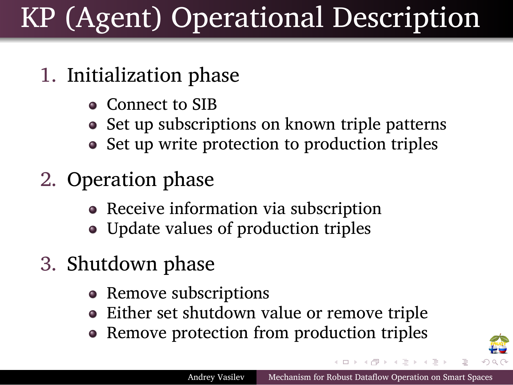## KP (Agent) Operational Description

### 1. Initialization phase

.

- Connect to SIB
- Set up subscriptions on known triple patterns
- Set up write protection to production triples
- 2. Operation phase
	- Receive information via subscription
	- Update values of production triples
- 3. Shutdown phase
	- Remove subscriptions
	- Either set shutdown value or remove triple
	- Remove protection from production triples

把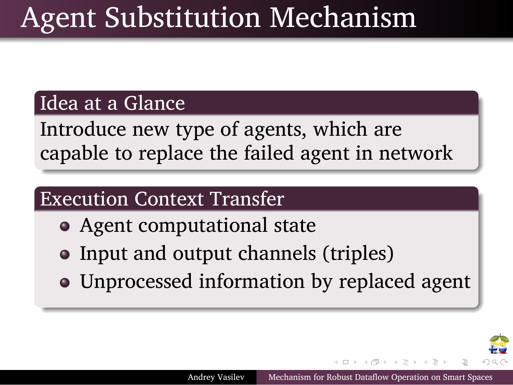## Agent Substitution Mechanism

### . Idea at a Glance .

.

. capable to replace the failed agent in network Introduce new type of agents, which are

### . Execution Context Transfer .

- Agent computational state
- Input and output channels (triples)
- Unprocessed information by replaced agent

Andrey Vasilev Mechanism for Robust Dataflow

. . . . . .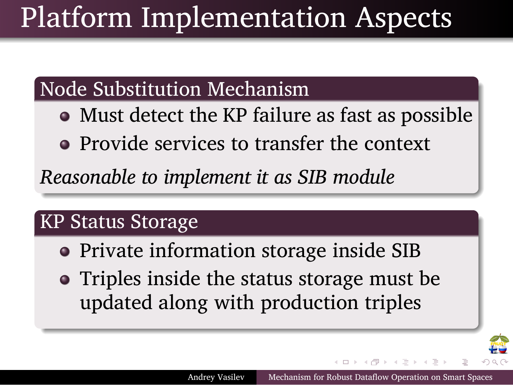## Platform Implementation Aspects

### . Node Substitution Mechanism .

- Must detect the KP failure as fast as possible
- Provide services to transfer the context

. *Reasonable to implement it as SIB module*

#### . KP Status Storage .

.

.

- Private information storage inside SIB
- Triples inside the status storage must be updated along with production triples

Andrey Vasilev Mechanism for R

. . . . . .

₩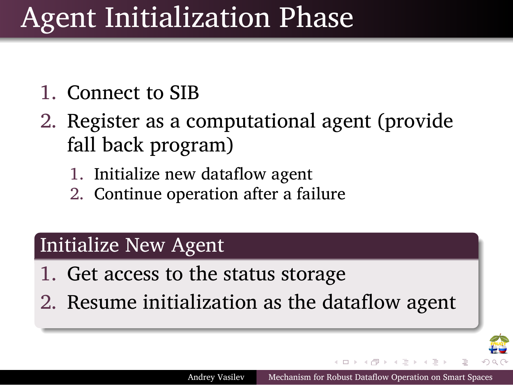## Agent Initialization Phase

1. Connect to SIB

.

- 2. Register as a computational agent (provide fall back program)
	- 1. Initialize new dataflow agent
	- 2. Continue operation after a failure

#### . Initialize New Agent .

- 1. Get access to the status storage
- . 2. Resume initialization as the dataflow agent

Andrey Vasilev Mechanism for Robust Dataflow Operation on Smart S

 $\Box\rightarrow\left\{ \frac{1}{\Box^{2}}\right\} \rightarrow\left\{ \frac{1}{\Box^{2}}\right\} \rightarrow\left\{ \frac{1}{\Box^{2}}\right\} \rightarrow\left\{ \frac{1}{\Box^{2}}\right\} \rightarrow\left\{ \frac{1}{\Box^{2}}\right\} \rightarrow\left\{ \frac{1}{\Box^{2}}\right\} \rightarrow\left\{ \frac{1}{\Box^{2}}\right\} \rightarrow\left\{ \frac{1}{\Box^{2}}\right\} \rightarrow\left\{ \frac{1}{\Box^{2}}\right\} \rightarrow\left\{ \frac{1}{\Box^{2}}\right\} \rightarrow\left\{ \frac{1}{\Box^{2}}\right$ 

EU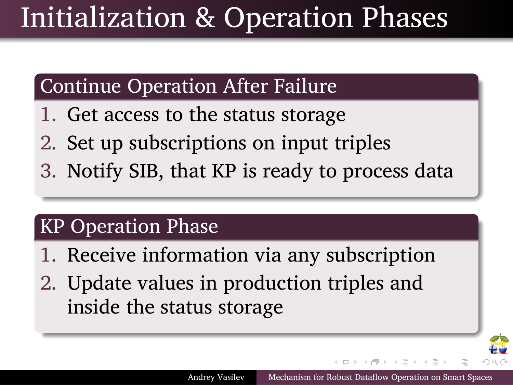## Initialization & Operation Phases

#### . Continue Operation After Failure .

- 1. Get access to the status storage
- 2. Set up subscriptions on input triples
- . 3. Notify SIB, that KP is ready to process data

#### . KP Operation Phase .

.

- 1. Receive information via any subscription
- . 2. Update values in production triples and inside the status storage

Andrey Vasilev Mechanism for Rob

. . . . . .

地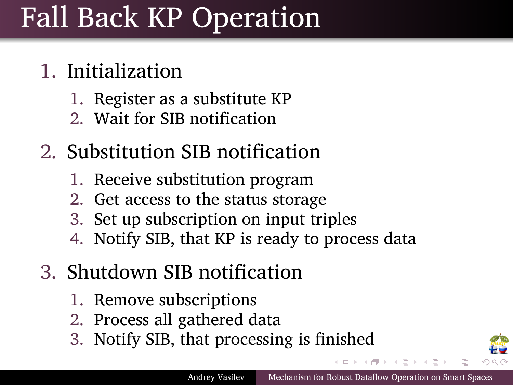## Fall Back KP Operation

### 1. Initialization

.

- 1. Register as a substitute KP
- 2. Wait for SIB notification

### 2. Substitution SIB notification

- 1. Receive substitution program
- 2. Get access to the status storage
- 3. Set up subscription on input triples
- 4. Notify SIB, that KP is ready to process data

### 3. Shutdown SIB notification

- 1. Remove subscriptions
- 2. Process all gathered data
- 3. Notify SIB, that processing is finished

**START OF STRAIGHT** 把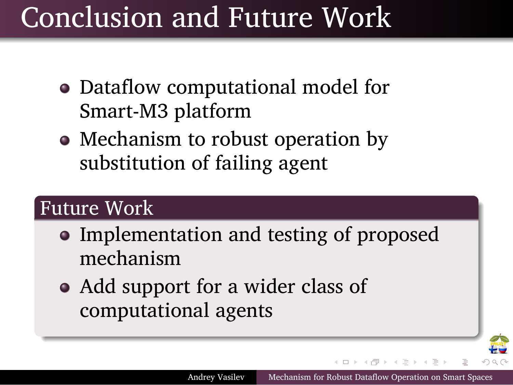## Conclusion and Future Work

- Dataflow computational model for Smart-M3 platform
- Mechanism to robust operation by substitution of failing agent

### . Future Work .

.

.

• Implementation and testing of proposed mechanism

 $\left( \begin{array}{ccc} 1 & 1 \\ 1 & 1 \end{array} \right)$  .

T.

Andrey Vasilev Mechanism for Robust Dataflow Operation on Smart S

Add support for a wider class of computational agents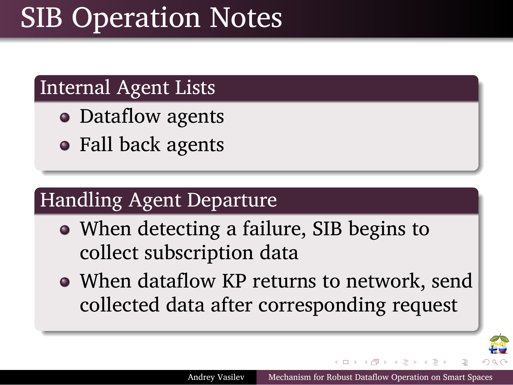## SIB Operation Notes

#### . Internal Agent Lists .

.

.

.

- Dataflow agents
- Fall back agents

#### . Handling Agent Departure .

- When detecting a failure, SIB begins to collect subscription data
- When dataflow KP returns to network, send collected data after corresponding request

地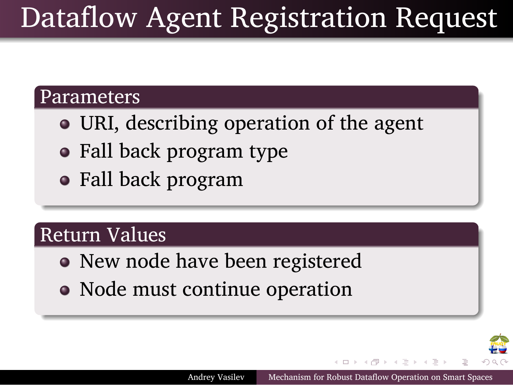## Dataflow Agent Registration Request

. . . . . .

₩

Andrey Vasilev Mechanism for Robust Dataflow Operation on Smart S

### . Parameters .

.

.

.

- URI, describing operation of the agent
- Fall back program type
- Fall back program

### . Return Values .

- New node have been registered
- Node must continue operation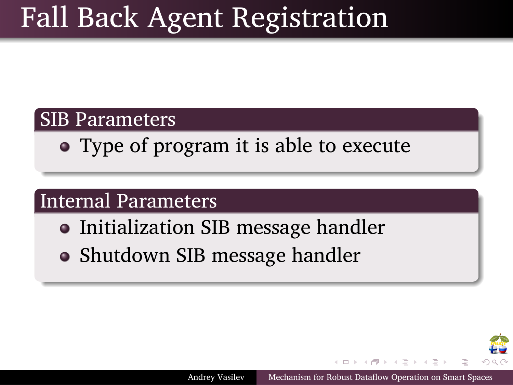## Fall Back Agent Registration

### . SIB Parameters .

.

.

.

Type of program it is able to execute

### . Internal Parameters .

- **Initialization SIB message handler**
- Shutdown SIB message handler